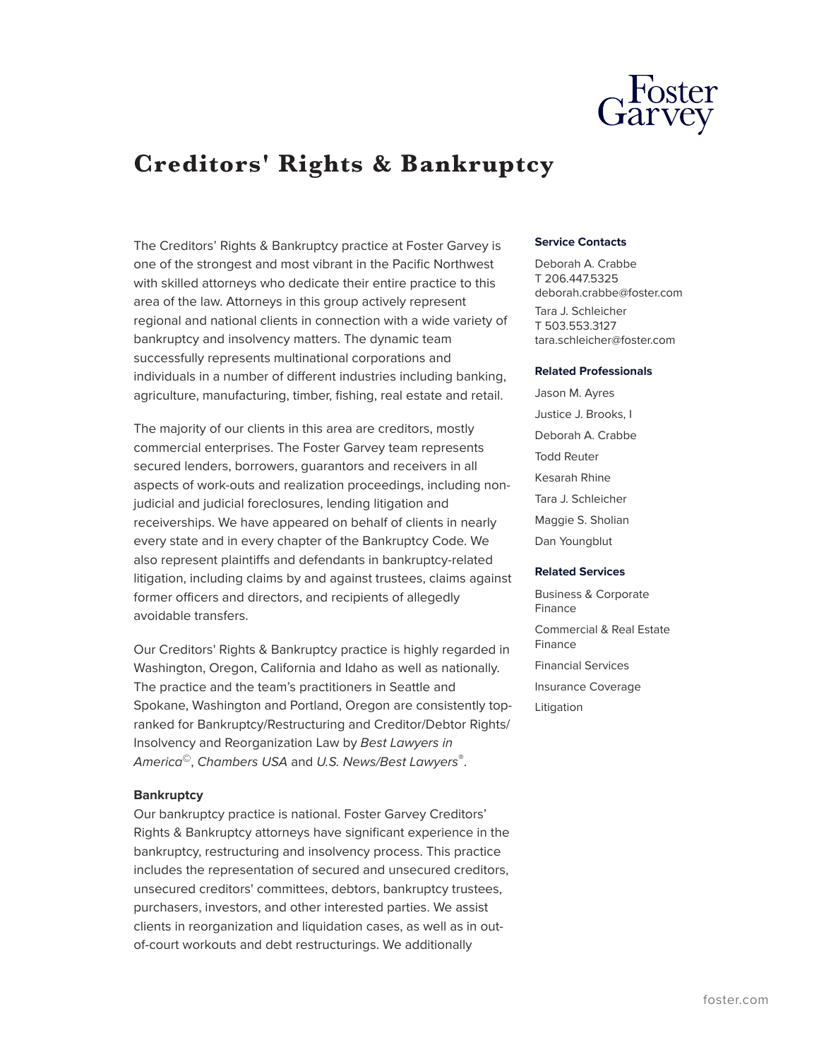

# **Creditors' Rights & Bankruptcy**

The Creditors' Rights & Bankruptcy practice at Foster Garvey is one of the strongest and most vibrant in the Pacific Northwest with skilled attorneys who dedicate their entire practice to this area of the law. Attorneys in this group actively represent regional and national clients in connection with a wide variety of bankruptcy and insolvency matters. The dynamic team successfully represents multinational corporations and individuals in a number of different industries including banking, agriculture, manufacturing, timber, fishing, real estate and retail.

The majority of our clients in this area are creditors, mostly commercial enterprises. The Foster Garvey team represents secured lenders, borrowers, guarantors and receivers in all aspects of work-outs and realization proceedings, including nonjudicial and judicial foreclosures, lending litigation and receiverships. We have appeared on behalf of clients in nearly every state and in every chapter of the Bankruptcy Code. We also represent plaintiffs and defendants in bankruptcy-related litigation, including claims by and against trustees, claims against former officers and directors, and recipients of allegedly avoidable transfers.

Our Creditors' Rights & Bankruptcy practice is highly regarded in Washington, Oregon, California and Idaho as well as nationally. The practice and the team's practitioners in Seattle and Spokane, Washington and Portland, Oregon are consistently topranked for Bankruptcy/Restructuring and Creditor/Debtor Rights/ Insolvency and Reorganization Law by *Best Lawyers in America*©, *Chambers USA* and *U.S. News/Best Lawyers*® .

#### **Bankruptcy**

Our bankruptcy practice is national. Foster Garvey Creditors' Rights & Bankruptcy attorneys have significant experience in the bankruptcy, restructuring and insolvency process. This practice includes the representation of secured and unsecured creditors, unsecured creditors' committees, debtors, bankruptcy trustees, purchasers, investors, and other interested parties. We assist clients in reorganization and liquidation cases, as well as in outof-court workouts and debt restructurings. We additionally

#### **Service Contacts**

Deborah A. Crabbe T 206.447.5325 deborah.crabbe@foster.com Tara J. Schleicher T 503.553.3127 tara.schleicher@foster.com

#### **Related Professionals**

Jason M. Ayres Justice J. Brooks, I Deborah A. Crabbe Todd Reuter Kesarah Rhine Tara J. Schleicher Maggie S. Sholian Dan Youngblut

#### **Related Services**

Business & Corporate Finance Commercial & Real Estate Finance Financial Services Insurance Coverage Litigation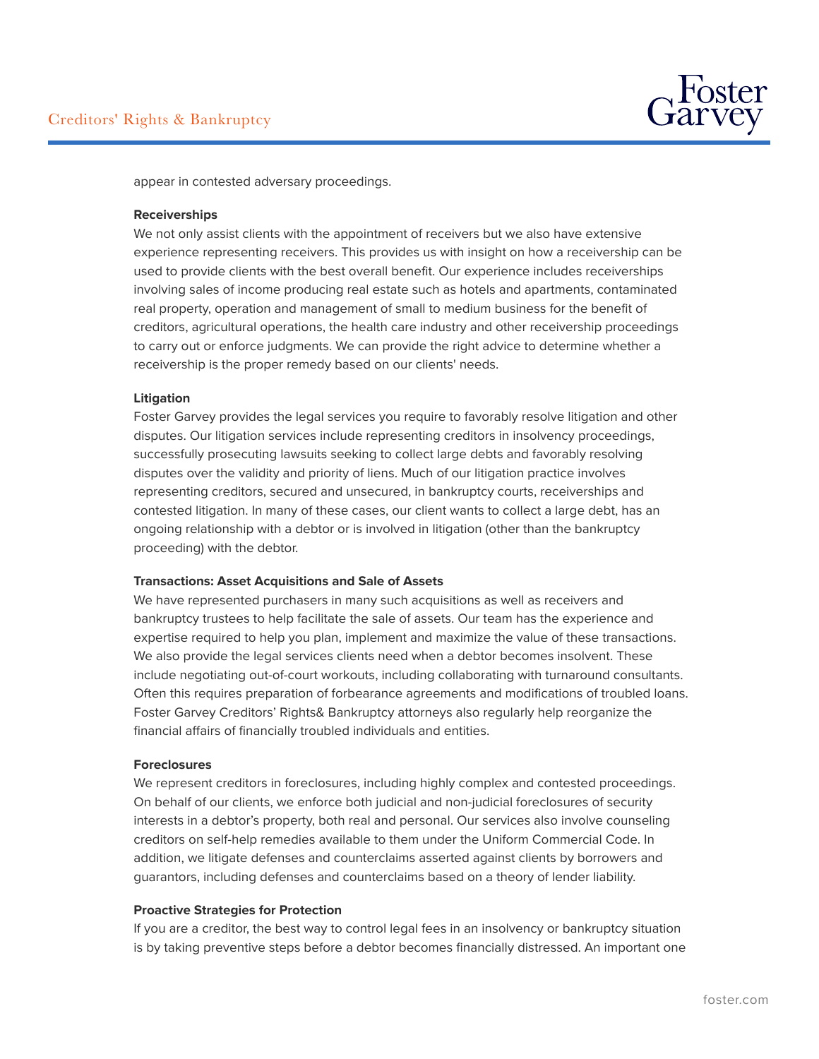

appear in contested adversary proceedings.

### **Receiverships**

We not only assist clients with the appointment of receivers but we also have extensive experience representing receivers. This provides us with insight on how a receivership can be used to provide clients with the best overall benefit. Our experience includes receiverships involving sales of income producing real estate such as hotels and apartments, contaminated real property, operation and management of small to medium business for the benefit of creditors, agricultural operations, the health care industry and other receivership proceedings to carry out or enforce judgments. We can provide the right advice to determine whether a receivership is the proper remedy based on our clients' needs.

#### **Litigation**

Foster Garvey provides the legal services you require to favorably resolve litigation and other disputes. Our litigation services include representing creditors in insolvency proceedings, successfully prosecuting lawsuits seeking to collect large debts and favorably resolving disputes over the validity and priority of liens. Much of our litigation practice involves representing creditors, secured and unsecured, in bankruptcy courts, receiverships and contested litigation. In many of these cases, our client wants to collect a large debt, has an ongoing relationship with a debtor or is involved in litigation (other than the bankruptcy proceeding) with the debtor.

## **Transactions: Asset Acquisitions and Sale of Assets**

We have represented purchasers in many such acquisitions as well as receivers and bankruptcy trustees to help facilitate the sale of assets. Our team has the experience and expertise required to help you plan, implement and maximize the value of these transactions. We also provide the legal services clients need when a debtor becomes insolvent. These include negotiating out-of-court workouts, including collaborating with turnaround consultants. Often this requires preparation of forbearance agreements and modifications of troubled loans. Foster Garvey Creditors' Rights& Bankruptcy attorneys also regularly help reorganize the financial affairs of financially troubled individuals and entities.

#### **Foreclosures**

We represent creditors in foreclosures, including highly complex and contested proceedings. On behalf of our clients, we enforce both judicial and non-judicial foreclosures of security interests in a debtor's property, both real and personal. Our services also involve counseling creditors on self-help remedies available to them under the Uniform Commercial Code. In addition, we litigate defenses and counterclaims asserted against clients by borrowers and guarantors, including defenses and counterclaims based on a theory of lender liability.

## **Proactive Strategies for Protection**

If you are a creditor, the best way to control legal fees in an insolvency or bankruptcy situation is by taking preventive steps before a debtor becomes financially distressed. An important one